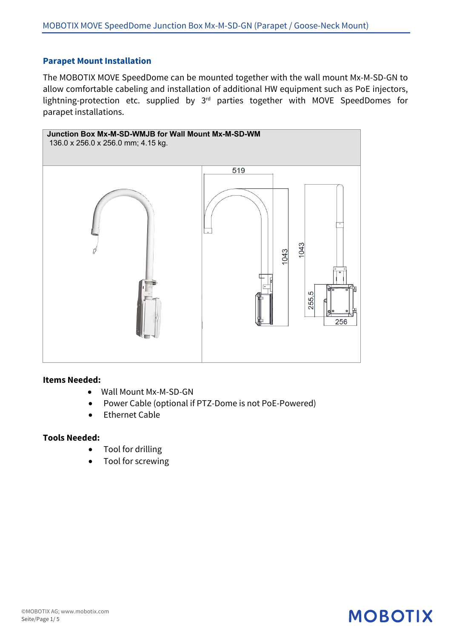### **Parapet Mount Installation**

The MOBOTIX MOVE SpeedDome can be mounted together with the wall mount Mx-M-SD-GN to allow comfortable cabeling and installation of additional HW equipment such as PoE injectors, lightning-protection etc. supplied by 3rd parties together with MOVE SpeedDomes for parapet installations.



#### **Items Needed:**

- Wall Mount Mx-M-SD-GN
- Power Cable (optional if PTZ-Dome is not PoE-Powered)
- Ethernet Cable

### **Tools Needed:**

- Tool for drilling
- Tool for screwing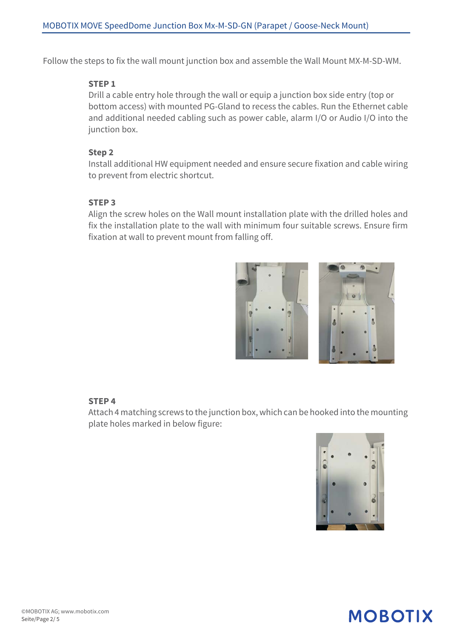Follow the steps to fix the wall mount junction box and assemble the Wall Mount MX-M-SD-WM.

### **STEP 1**

Drill a cable entry hole through the wall or equip a junction box side entry (top or bottom access) with mounted PG-Gland to recess the cables. Run the Ethernet cable and additional needed cabling such as power cable, alarm I/O or Audio I/O into the junction box.

### **Step 2**

Install additional HW equipment needed and ensure secure fixation and cable wiring to prevent from electric shortcut.

### **STEP 3**

Align the screw holes on the Wall mount installation plate with the drilled holes and fix the installation plate to the wall with minimum four suitable screws. Ensure firm fixation at wall to prevent mount from falling off.



### **STEP 4**

Attach 4 matching screws to the junction box, which can be hooked into the mounting plate holes marked in below figure:

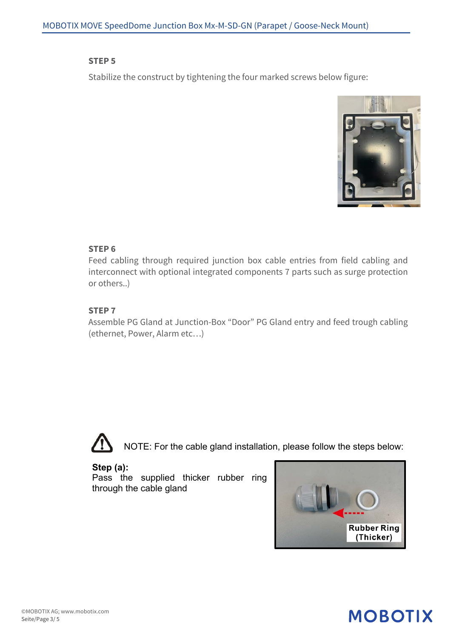#### **STEP 5**

Stabilize the construct by tightening the four marked screws below figure:



### **STEP 6**

Feed cabling through required junction box cable entries from field cabling and interconnect with optional integrated components 7 parts such as surge protection or others..)

### **STEP 7**

Assemble PG Gland at Junction-Box "Door" PG Gland entry and feed trough cabling (ethernet, Power, Alarm etc…)



NOTE: For the cable gland installation, please follow the steps below:

**Step (a):**

Pass the supplied thicker rubber ring through the cable gland

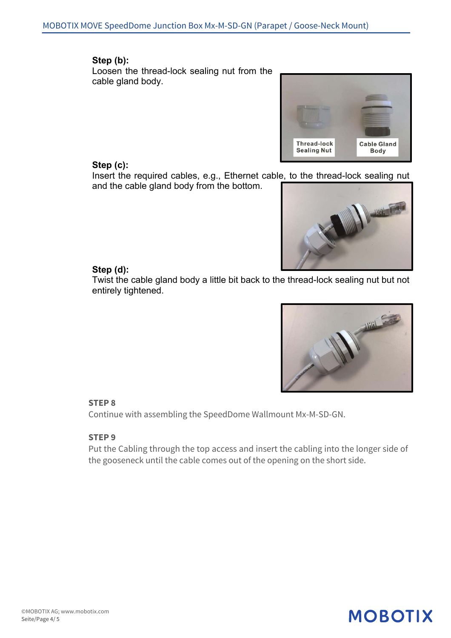### **Step (b):**

Loosen the thread-lock sealing nut from the cable gland body.



### **Step (c):**

Insert the required cables, e.g., Ethernet cable, to the thread-lock sealing nut and the cable gland body from the bottom.



### **Step (d):**

Twist the cable gland body a little bit back to the thread-lock sealing nut but not entirely tightened.



### **STEP 8**

Continue with assembling the SpeedDome Wallmount Mx-M-SD-GN.

### **STEP 9**

Put the Cabling through the top access and insert the cabling into the longer side of the gooseneck until the cable comes out of the opening on the short side.